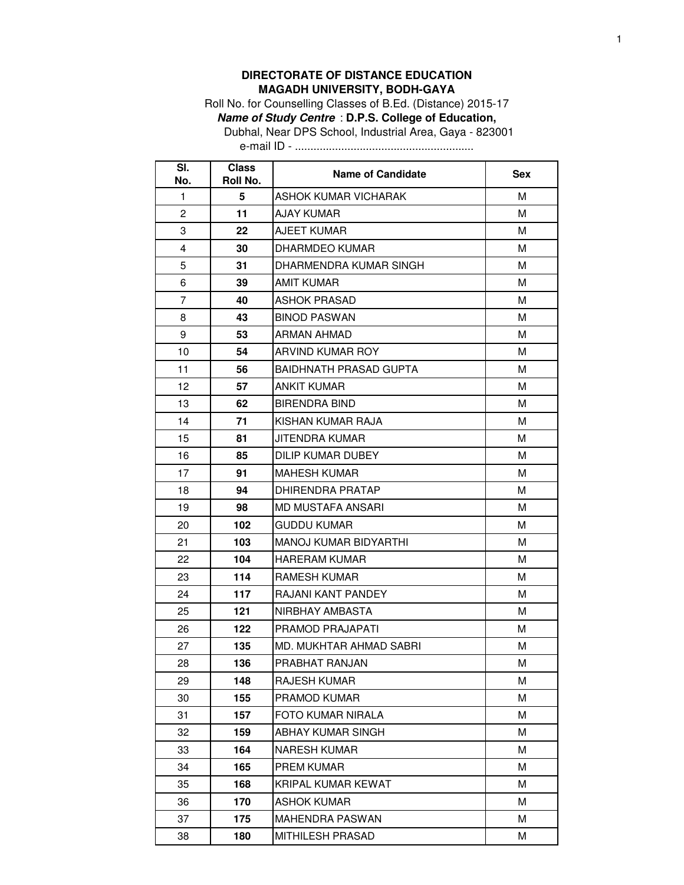## **DIRECTORATE OF DISTANCE EDUCATION MAGADH UNIVERSITY, BODH-GAYA**

Roll No. for Counselling Classes of B.Ed. (Distance) 2015-17 **Name of Study Centre** : **D.P.S. College of Education,** Dubhal, Near DPS School, Industrial Area, Gaya - 823001

e-mail ID - ..........................................................

| SI.<br>No.     | <b>Class</b><br>Roll No. | <b>Name of Candidate</b>      | <b>Sex</b> |
|----------------|--------------------------|-------------------------------|------------|
| 1              | 5                        | ASHOK KUMAR VICHARAK          | M          |
| 2              | 11                       | AJAY KUMAR                    | м          |
| 3              | 22                       | AJEET KUMAR                   | М          |
| 4              | 30                       | DHARMDEO KUMAR                | м          |
| 5              | 31                       | DHARMENDRA KUMAR SINGH        | M          |
| 6              | 39                       | <b>AMIT KUMAR</b>             | М          |
| $\overline{7}$ | 40                       | ASHOK PRASAD                  | м          |
| 8              | 43                       | <b>BINOD PASWAN</b>           | м          |
| 9              | 53                       | ARMAN AHMAD                   | м          |
| 10             | 54                       | ARVIND KUMAR ROY              | M          |
| 11             | 56                       | <b>BAIDHNATH PRASAD GUPTA</b> | м          |
| 12             | 57                       | ANKIT KUMAR                   | M          |
| 13             | 62                       | <b>BIRENDRA BIND</b>          | M          |
| 14             | 71                       | KISHAN KUMAR RAJA             | м          |
| 15             | 81                       | JITENDRA KUMAR                | м          |
| 16             | 85                       | DILIP KUMAR DUBEY             | м          |
| 17             | 91                       | <b>MAHESH KUMAR</b>           | M          |
| 18             | 94                       | DHIRENDRA PRATAP              | м          |
| 19             | 98                       | MD MUSTAFA ANSARI             | м          |
| 20             | 102                      | <b>GUDDU KUMAR</b>            | м          |
| 21             | 103                      | MANOJ KUMAR BIDYARTHI         | м          |
| 22             | 104                      | HARERAM KUMAR                 | м          |
| 23             | 114                      | <b>RAMESH KUMAR</b>           | м          |
| 24             | 117                      | RAJANI KANT PANDEY            | м          |
| 25             | 121                      | NIRBHAY AMBASTA               | M          |
| 26             | 122                      | PRAMOD PRAJAPATI              | M          |
| 27             | 135                      | MD. MUKHTAR AHMAD SABRI       | М          |
| 28             | 136                      | PRABHAT RANJAN                | М          |
| 29             | 148                      | RAJESH KUMAR                  | М          |
| 30             | 155                      | PRAMOD KUMAR                  | M          |
| 31             | 157                      | FOTO KUMAR NIRALA             | м          |
| 32             | 159                      | <b>ABHAY KUMAR SINGH</b>      | M          |
| 33             | 164                      | NARESH KUMAR                  | м          |
| 34             | 165                      | PREM KUMAR                    | M          |
| 35             | 168                      | KRIPAL KUMAR KEWAT            | м          |
| 36             | 170                      | <b>ASHOK KUMAR</b>            | M          |
| 37             | 175                      | <b>MAHENDRA PASWAN</b>        | M          |
| 38             | 180                      | MITHILESH PRASAD              | М          |